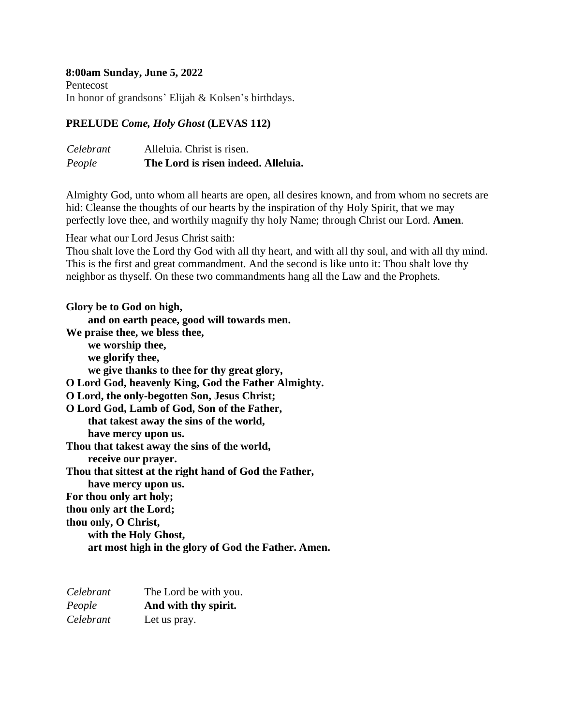#### **8:00am Sunday, June 5, 2022**

Pentecost In honor of grandsons' Elijah & Kolsen's birthdays.

#### **PRELUDE** *Come, Holy Ghost* **(LEVAS 112)**

| People    | The Lord is risen indeed. Alleluia. |
|-----------|-------------------------------------|
| Celebrant | Alleluia. Christ is risen.          |

Almighty God, unto whom all hearts are open, all desires known, and from whom no secrets are hid: Cleanse the thoughts of our hearts by the inspiration of thy Holy Spirit, that we may perfectly love thee, and worthily magnify thy holy Name; through Christ our Lord. **Amen***.*

Hear what our Lord Jesus Christ saith:

Thou shalt love the Lord thy God with all thy heart, and with all thy soul, and with all thy mind. This is the first and great commandment. And the second is like unto it: Thou shalt love thy neighbor as thyself. On these two commandments hang all the Law and the Prophets.

**Glory be to God on high, and on earth peace, good will towards men. We praise thee, we bless thee, we worship thee, we glorify thee, we give thanks to thee for thy great glory, O Lord God, heavenly King, God the Father Almighty. O Lord, the only-begotten Son, Jesus Christ; O Lord God, Lamb of God, Son of the Father, that takest away the sins of the world, have mercy upon us. Thou that takest away the sins of the world, receive our prayer. Thou that sittest at the right hand of God the Father, have mercy upon us. For thou only art holy; thou only art the Lord; thou only, O Christ, with the Holy Ghost, art most high in the glory of God the Father. Amen.**

| Celebrant | The Lord be with you. |
|-----------|-----------------------|
| People    | And with thy spirit.  |
| Celebrant | Let us pray.          |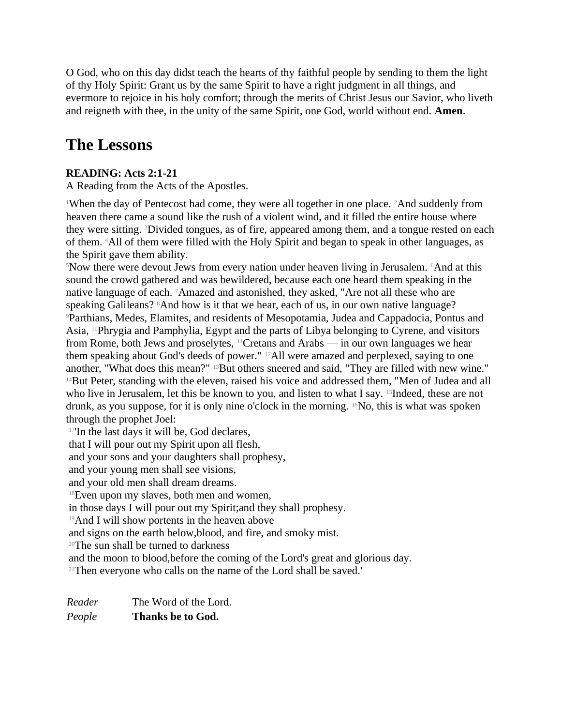O God, who on this day didst teach the hearts of thy faithful people by sending to them the light of thy Holy Spirit: Grant us by the same Spirit to have a right judgment in all things, and evermore to rejoice in his holy comfort; through the merits of Christ Jesus our Savior, who liveth and reigneth with thee, in the unity of the same Spirit, one God, world without end. **Amen**.

# **The Lessons**

## **READING: Acts 2:1-21**

A Reading from the Acts of the Apostles.

<sup>1</sup>When the day of Pentecost had come, they were all together in one place. <sup>2</sup>And suddenly from heaven there came a sound like the rush of a violent wind, and it filled the entire house where they were sitting. 3Divided tongues, as of fire, appeared among them, and a tongue rested on each of them. 4All of them were filled with the Holy Spirit and began to speak in other languages, as the Spirit gave them ability.

<sup>5</sup>Now there were devout Jews from every nation under heaven living in Jerusalem. <sup>6</sup>And at this sound the crowd gathered and was bewildered, because each one heard them speaking in the native language of each. 7Amazed and astonished, they asked, "Are not all these who are speaking Galileans? <sup>8</sup>And how is it that we hear, each of us, in our own native language? <sup>9</sup>Parthians, Medes, Elamites, and residents of Mesopotamia, Judea and Cappadocia, Pontus and Asia, 10Phrygia and Pamphylia, Egypt and the parts of Libya belonging to Cyrene, and visitors from Rome, both Jews and proselytes, 11Cretans and Arabs — in our own languages we hear them speaking about God's deeds of power." 12All were amazed and perplexed, saying to one another, "What does this mean?" <sup>13</sup>But others sneered and said, "They are filled with new wine." <sup>14</sup>But Peter, standing with the eleven, raised his voice and addressed them, "Men of Judea and all who live in Jerusalem, let this be known to you, and listen to what I say. <sup>15</sup>Indeed, these are not drunk, as you suppose, for it is only nine o'clock in the morning. 16No, this is what was spoken through the prophet Joel:

<sup>17'</sup>In the last days it will be, God declares,

that I will pour out my Spirit upon all flesh,

and your sons and your daughters shall prophesy,

and your young men shall see visions,

and your old men shall dream dreams.

<sup>18</sup>Even upon my slaves, both men and women,

in those days I will pour out my Spirit;and they shall prophesy.

<sup>19</sup>And I will show portents in the heaven above

and signs on the earth below,blood, and fire, and smoky mist.

<sup>20</sup>The sun shall be turned to darkness

and the moon to blood,before the coming of the Lord's great and glorious day.

<sup>21</sup>Then everyone who calls on the name of the Lord shall be saved.'

*Reader* The Word of the Lord. *People* **Thanks be to God.**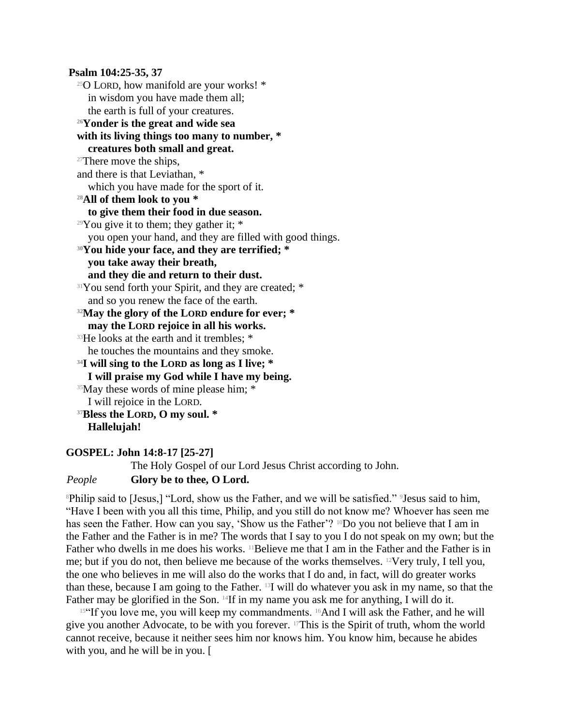**Psalm 104:25-35, 37** <sup>25</sup>O LORD, how manifold are your works! \* in wisdom you have made them all; the earth is full of your creatures. **<sup>26</sup>Yonder is the great and wide sea with its living things too many to number, \* creatures both small and great.** <sup>27</sup>There move the ships, and there is that Leviathan, \* which you have made for the sport of it. **<sup>28</sup>All of them look to you \* to give them their food in due season.** <sup>29</sup>You give it to them; they gather it:  $*$ you open your hand, and they are filled with good things. **<sup>30</sup>You hide your face, and they are terrified; \* you take away their breath, and they die and return to their dust.** <sup>31</sup>You send forth your Spirit, and they are created: \* and so you renew the face of the earth. **<sup>32</sup>May the glory of the LORD endure for ever; \* may the LORD rejoice in all his works.** <sup>33</sup>He looks at the earth and it trembles; \* he touches the mountains and they smoke. **<sup>34</sup>I will sing to the LORD as long as I live; \* I will praise my God while I have my being.** <sup>35</sup>May these words of mine please him; \* I will rejoice in the LORD. **<sup>37</sup>Bless the LORD, O my soul. \* Hallelujah!**

#### **GOSPEL: John 14:8-17 [25-27]**

The Holy Gospel of our Lord Jesus Christ according to John. *People* **Glory be to thee, O Lord.**

<sup>8</sup>Philip said to [Jesus,] "Lord, show us the Father, and we will be satisfied." <sup>9</sup>Jesus said to him, "Have I been with you all this time, Philip, and you still do not know me? Whoever has seen me has seen the Father. How can you say, 'Show us the Father'? <sup>10</sup>Do you not believe that I am in the Father and the Father is in me? The words that I say to you I do not speak on my own; but the Father who dwells in me does his works. <sup>11</sup>Believe me that I am in the Father and the Father is in me; but if you do not, then believe me because of the works themselves. 12Very truly, I tell you, the one who believes in me will also do the works that I do and, in fact, will do greater works than these, because I am going to the Father. 13I will do whatever you ask in my name, so that the Father may be glorified in the Son. <sup>14</sup>If in my name you ask me for anything, I will do it.

 $15$  T you love me, you will keep my commandments.  $16$ And I will ask the Father, and he will give you another Advocate, to be with you forever. 17This is the Spirit of truth, whom the world cannot receive, because it neither sees him nor knows him. You know him, because he abides with you, and he will be in you. [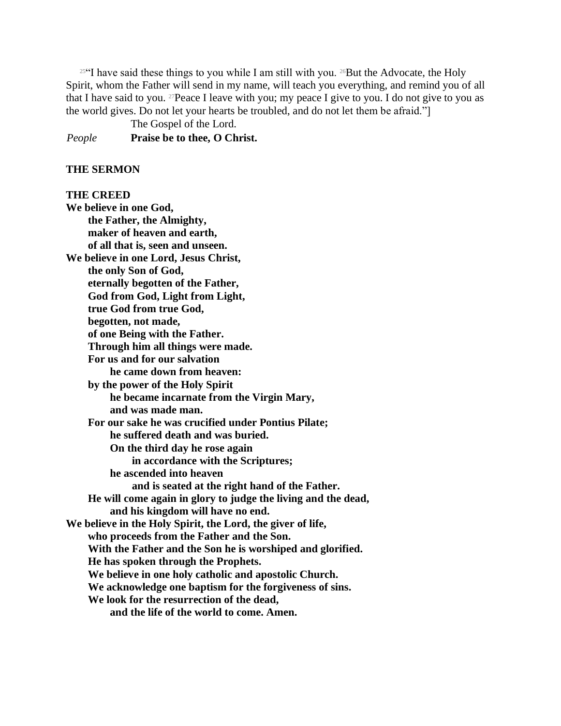<sup>2564</sup>I have said these things to you while I am still with you. <sup>26</sup>But the Advocate, the Holy Spirit, whom the Father will send in my name, will teach you everything, and remind you of all that I have said to you. <sup>27</sup>Peace I leave with you; my peace I give to you. I do not give to you as the world gives. Do not let your hearts be troubled, and do not let them be afraid."]

The Gospel of the Lord.

*People* **Praise be to thee, O Christ.**

#### **THE SERMON**

#### **THE CREED**

**We believe in one God, the Father, the Almighty, maker of heaven and earth, of all that is, seen and unseen. We believe in one Lord, Jesus Christ, the only Son of God, eternally begotten of the Father, God from God, Light from Light, true God from true God, begotten, not made, of one Being with the Father. Through him all things were made. For us and for our salvation he came down from heaven: by the power of the Holy Spirit he became incarnate from the Virgin Mary, and was made man. For our sake he was crucified under Pontius Pilate; he suffered death and was buried. On the third day he rose again in accordance with the Scriptures; he ascended into heaven and is seated at the right hand of the Father. He will come again in glory to judge the living and the dead, and his kingdom will have no end. We believe in the Holy Spirit, the Lord, the giver of life, who proceeds from the Father and the Son. With the Father and the Son he is worshiped and glorified. He has spoken through the Prophets. We believe in one holy catholic and apostolic Church. We acknowledge one baptism for the forgiveness of sins. We look for the resurrection of the dead, and the life of the world to come. Amen.**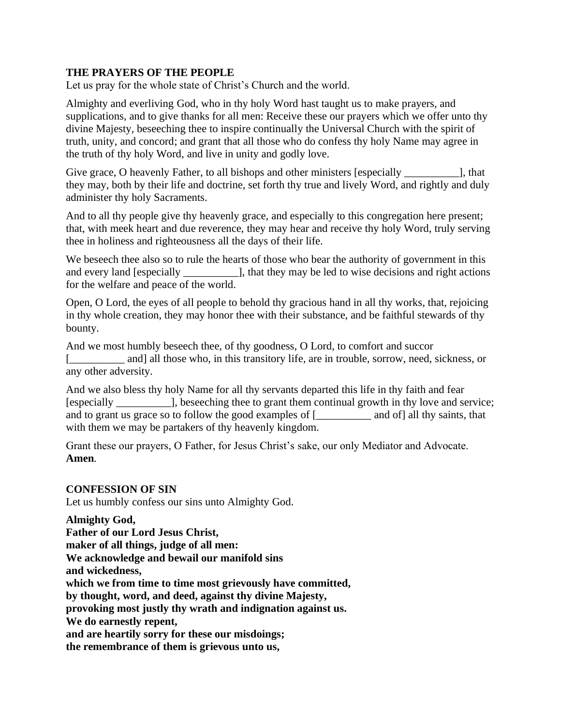#### **THE PRAYERS OF THE PEOPLE**

Let us pray for the whole state of Christ's Church and the world.

Almighty and everliving God, who in thy holy Word hast taught us to make prayers, and supplications, and to give thanks for all men: Receive these our prayers which we offer unto thy divine Majesty, beseeching thee to inspire continually the Universal Church with the spirit of truth, unity, and concord; and grant that all those who do confess thy holy Name may agree in the truth of thy holy Word, and live in unity and godly love.

Give grace, O heavenly Father, to all bishops and other ministers [especially \_\_\_\_\_\_\_\_\_\_\_\_\_], that they may, both by their life and doctrine, set forth thy true and lively Word, and rightly and duly administer thy holy Sacraments.

And to all thy people give thy heavenly grace, and especially to this congregation here present; that, with meek heart and due reverence, they may hear and receive thy holy Word, truly serving thee in holiness and righteousness all the days of their life.

We beseech thee also so to rule the hearts of those who bear the authority of government in this and every land [especially \_\_\_\_\_\_\_\_\_\_], that they may be led to wise decisions and right actions for the welfare and peace of the world.

Open, O Lord, the eyes of all people to behold thy gracious hand in all thy works, that, rejoicing in thy whole creation, they may honor thee with their substance, and be faithful stewards of thy bounty.

And we most humbly beseech thee, of thy goodness, O Lord, to comfort and succor and] all those who, in this transitory life, are in trouble, sorrow, need, sickness, or any other adversity.

And we also bless thy holy Name for all thy servants departed this life in thy faith and fear [especially \_\_\_\_\_\_\_\_\_\_], beseeching thee to grant them continual growth in thy love and service; and to grant us grace so to follow the good examples of [\_\_\_\_\_\_\_\_\_\_ and of] all thy saints, that with them we may be partakers of thy heavenly kingdom.

Grant these our prayers, O Father, for Jesus Christ's sake, our only Mediator and Advocate. **Amen***.*

### **CONFESSION OF SIN**

Let us humbly confess our sins unto Almighty God.

**Almighty God, Father of our Lord Jesus Christ, maker of all things, judge of all men: We acknowledge and bewail our manifold sins and wickedness, which we from time to time most grievously have committed, by thought, word, and deed, against thy divine Majesty, provoking most justly thy wrath and indignation against us. We do earnestly repent, and are heartily sorry for these our misdoings; the remembrance of them is grievous unto us,**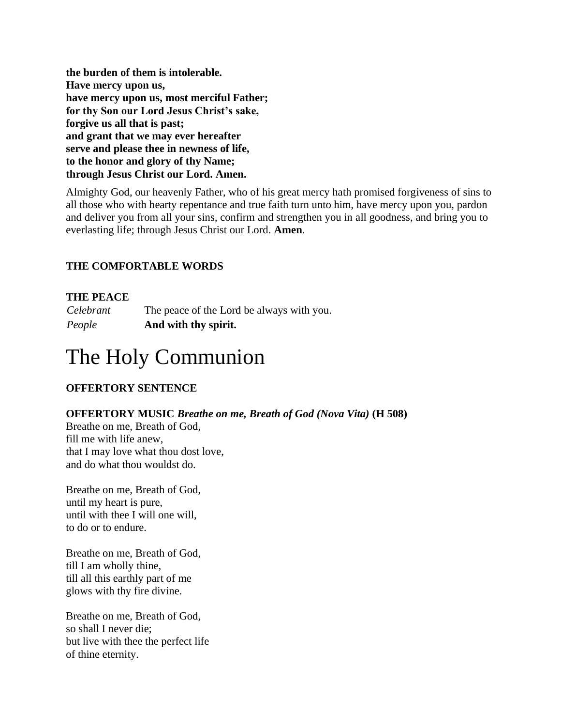**the burden of them is intolerable. Have mercy upon us, have mercy upon us, most merciful Father; for thy Son our Lord Jesus Christ's sake, forgive us all that is past; and grant that we may ever hereafter serve and please thee in newness of life, to the honor and glory of thy Name; through Jesus Christ our Lord. Amen.**

Almighty God, our heavenly Father, who of his great mercy hath promised forgiveness of sins to all those who with hearty repentance and true faith turn unto him, have mercy upon you, pardon and deliver you from all your sins, confirm and strengthen you in all goodness, and bring you to everlasting life; through Jesus Christ our Lord. **Amen***.*

## **THE COMFORTABLE WORDS**

#### **THE PEACE**

*Celebrant* The peace of the Lord be always with you. *People* **And with thy spirit.**

# The Holy Communion

### **OFFERTORY SENTENCE**

#### **OFFERTORY MUSIC** *Breathe on me, Breath of God (Nova Vita)* **(H 508)**

Breathe on me, Breath of God, fill me with life anew, that I may love what thou dost love, and do what thou wouldst do.

Breathe on me, Breath of God, until my heart is pure, until with thee I will one will, to do or to endure.

Breathe on me, Breath of God, till I am wholly thine, till all this earthly part of me glows with thy fire divine.

Breathe on me, Breath of God, so shall I never die; but live with thee the perfect life of thine eternity.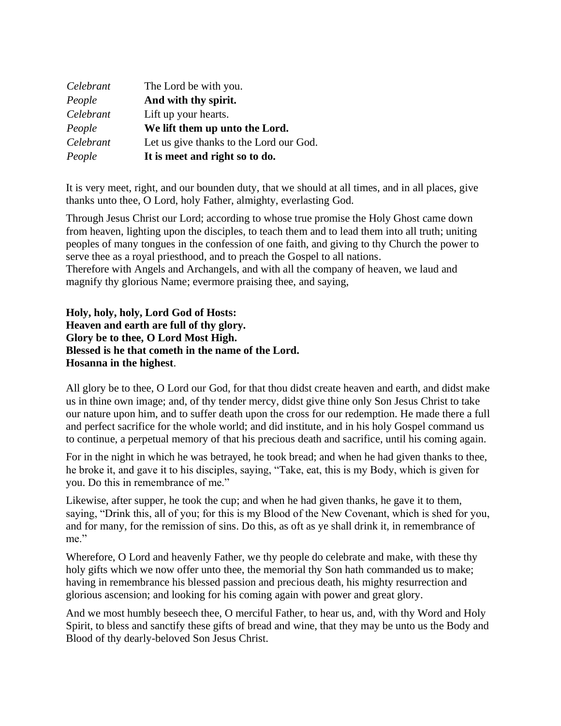| Celebrant | The Lord be with you.                   |
|-----------|-----------------------------------------|
| People    | And with thy spirit.                    |
| Celebrant | Lift up your hearts.                    |
| People    | We lift them up unto the Lord.          |
| Celebrant | Let us give thanks to the Lord our God. |
| People    | It is meet and right so to do.          |

It is very meet, right, and our bounden duty, that we should at all times, and in all places, give thanks unto thee, O Lord, holy Father, almighty, everlasting God.

Through Jesus Christ our Lord; according to whose true promise the Holy Ghost came down from heaven, lighting upon the disciples, to teach them and to lead them into all truth; uniting peoples of many tongues in the confession of one faith, and giving to thy Church the power to serve thee as a royal priesthood, and to preach the Gospel to all nations.

Therefore with Angels and Archangels, and with all the company of heaven, we laud and magnify thy glorious Name; evermore praising thee, and saying,

**Holy, holy, holy, Lord God of Hosts: Heaven and earth are full of thy glory. Glory be to thee, O Lord Most High. Blessed is he that cometh in the name of the Lord. Hosanna in the highest**.

All glory be to thee, O Lord our God, for that thou didst create heaven and earth, and didst make us in thine own image; and, of thy tender mercy, didst give thine only Son Jesus Christ to take our nature upon him, and to suffer death upon the cross for our redemption. He made there a full and perfect sacrifice for the whole world; and did institute, and in his holy Gospel command us to continue, a perpetual memory of that his precious death and sacrifice, until his coming again.

For in the night in which he was betrayed, he took bread; and when he had given thanks to thee, he broke it, and gave it to his disciples, saying, "Take, eat, this is my Body, which is given for you. Do this in remembrance of me."

Likewise, after supper, he took the cup; and when he had given thanks, he gave it to them, saying, "Drink this, all of you; for this is my Blood of the New Covenant, which is shed for you, and for many, for the remission of sins. Do this, as oft as ye shall drink it, in remembrance of me."

Wherefore, O Lord and heavenly Father, we thy people do celebrate and make, with these thy holy gifts which we now offer unto thee, the memorial thy Son hath commanded us to make; having in remembrance his blessed passion and precious death, his mighty resurrection and glorious ascension; and looking for his coming again with power and great glory.

And we most humbly beseech thee, O merciful Father, to hear us, and, with thy Word and Holy Spirit, to bless and sanctify these gifts of bread and wine, that they may be unto us the Body and Blood of thy dearly-beloved Son Jesus Christ.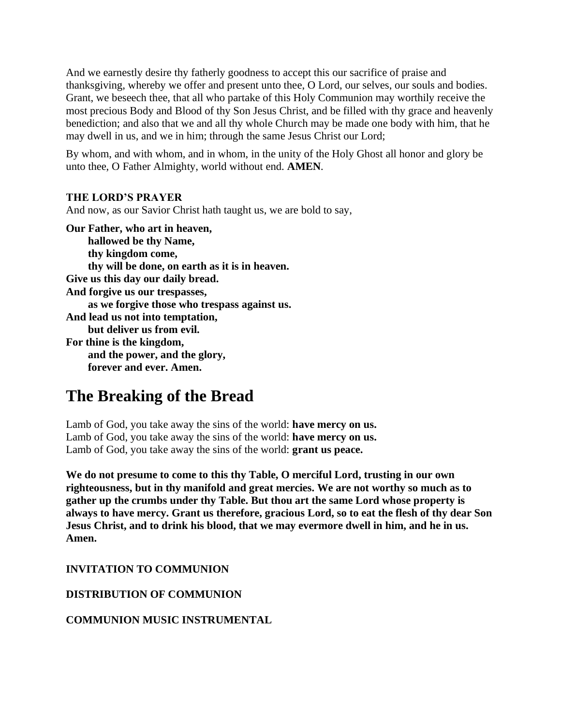And we earnestly desire thy fatherly goodness to accept this our sacrifice of praise and thanksgiving, whereby we offer and present unto thee, O Lord, our selves, our souls and bodies. Grant, we beseech thee, that all who partake of this Holy Communion may worthily receive the most precious Body and Blood of thy Son Jesus Christ, and be filled with thy grace and heavenly benediction; and also that we and all thy whole Church may be made one body with him, that he may dwell in us, and we in him; through the same Jesus Christ our Lord;

By whom, and with whom, and in whom, in the unity of the Holy Ghost all honor and glory be unto thee, O Father Almighty, world without end. **AMEN***.*

#### **THE LORD'S PRAYER**

And now, as our Savior Christ hath taught us, we are bold to say,

**Our Father, who art in heaven, hallowed be thy Name, thy kingdom come, thy will be done, on earth as it is in heaven. Give us this day our daily bread. And forgive us our trespasses, as we forgive those who trespass against us. And lead us not into temptation, but deliver us from evil. For thine is the kingdom, and the power, and the glory, forever and ever. Amen.**

## **The Breaking of the Bread**

Lamb of God, you take away the sins of the world: **have mercy on us.** Lamb of God, you take away the sins of the world: **have mercy on us.** Lamb of God, you take away the sins of the world: **grant us peace.**

**We do not presume to come to this thy Table, O merciful Lord, trusting in our own righteousness, but in thy manifold and great mercies. We are not worthy so much as to gather up the crumbs under thy Table. But thou art the same Lord whose property is always to have mercy. Grant us therefore, gracious Lord, so to eat the flesh of thy dear Son Jesus Christ, and to drink his blood, that we may evermore dwell in him, and he in us. Amen.**

**INVITATION TO COMMUNION**

**DISTRIBUTION OF COMMUNION**

**COMMUNION MUSIC INSTRUMENTAL**